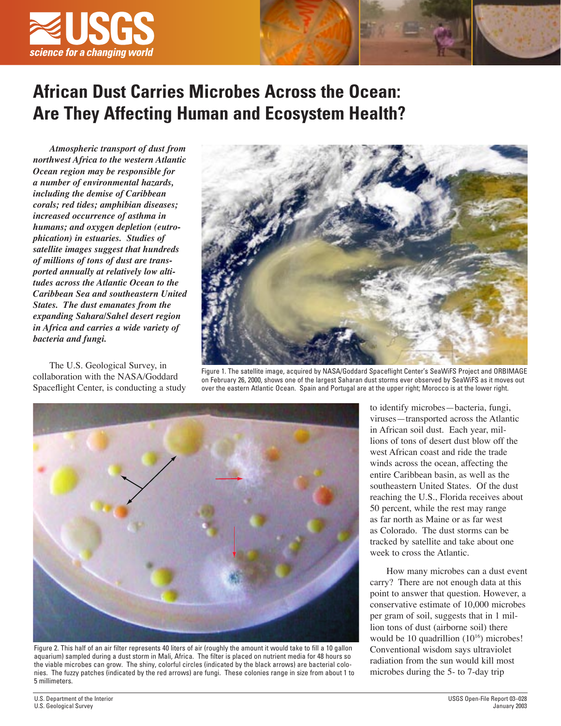

## **African Dust Carries Microbes Across the Ocean: Are They Affecting Human and Ecosystem Health?**

*Atmospheric transport of dust from northwest Africa to the western Atlantic Ocean region may be responsible for a number of environmental hazards, including the demise of Caribbean corals; red tides; amphibian diseases; increased occurrence of asthma in humans; and oxygen depletion (eutrophication) in estuaries. Studies of satellite images suggest that hundreds of millions of tons of dust are transported annually at relatively low altitudes across the Atlantic Ocean to the Caribbean Sea and southeastern United States. The dust emanates from the expanding Sahara/Sahel desert region in Africa and carries a wide variety of bacteria and fungi.*

The U.S. Geological Survey, in collaboration with the NASA/Goddard Spaceflight Center, is conducting a study



Figure 1. The satellite image, acquired by NASA/Goddard Spaceflight Center's SeaWiFS Project and ORBIMAGE on February 26, 2000, shows one of the largest Saharan dust storms ever observed by SeaWiFS as it moves out over the eastern Atlantic Ocean. Spain and Portugal are at the upper right; Morocco is at the lower right.



Figure 2. This half of an air filter represents 40 liters of air (roughly the amount it would take to fill a 10 gallon aquarium) sampled during a dust storm in Mali, Africa. The filter is placed on nutrient media for 48 hours so the viable microbes can grow. The shiny, colorful circles (indicated by the black arrows) are bacterial colonies. The fuzzy patches (indicated by the red arrows) are fungi. These colonies range in size from about 1 to 5 millimeters.

to identify microbes—bacteria, fungi, viruses—transported across the Atlantic in African soil dust. Each year, millions of tons of desert dust blow off the west African coast and ride the trade winds across the ocean, affecting the entire Caribbean basin, as well as the southeastern United States. Of the dust reaching the U.S., Florida receives about 50 percent, while the rest may range as far north as Maine or as far west as Colorado. The dust storms can be tracked by satellite and take about one week to cross the Atlantic.

How many microbes can a dust event carry? There are not enough data at this point to answer that question. However, a conservative estimate of 10,000 microbes per gram of soil, suggests that in 1 million tons of dust (airborne soil) there would be 10 quadrillion  $(10^{16})$  microbes! Conventional wisdom says ultraviolet radiation from the sun would kill most microbes during the 5- to 7-day trip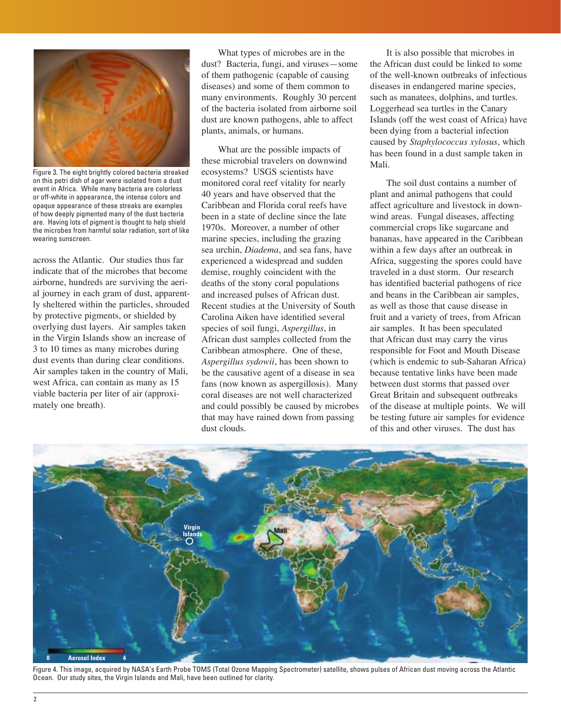

Figure 3. The eight brightly colored bacteria streaked on this petri dish of agar were isolated from a dust event in Africa. While many bacteria are colorless or off-white in appearance, the intense colors and opaque appearance of these streaks are examples of how deeply pigmented many of the dust bacteria are. Having lots of pigment is thought to help shield the microbes from harmful solar radiation, sort of like wearing sunscreen.

across the Atlantic. Our studies thus far indicate that of the microbes that become airborne, hundreds are surviving the aerial journey in each gram of dust, apparently sheltered within the particles, shrouded by protective pigments, or shielded by overlying dust layers. Air samples taken in the Virgin Islands show an increase of 3 to 10 times as many microbes during dust events than during clear conditions. Air samples taken in the country of Mali, west Africa, can contain as many as 15 viable bacteria per liter of air (approximately one breath).

What types of microbes are in the dust? Bacteria, fungi, and viruses—some of them pathogenic (capable of causing diseases) and some of them common to many environments. Roughly 30 percent of the bacteria isolated from airborne soil dust are known pathogens, able to affect plants, animals, or humans.

What are the possible impacts of these microbial travelers on downwind ecosystems? USGS scientists have monitored coral reef vitality for nearly 40 years and have observed that the Caribbean and Florida coral reefs have been in a state of decline since the late 1970s. Moreover, a number of other marine species, including the grazing sea urchin, *Diadema*, and sea fans, have experienced a widespread and sudden demise, roughly coincident with the deaths of the stony coral populations and increased pulses of African dust. Recent studies at the University of South Carolina Aiken have identified several species of soil fungi, *Aspergillus*, in African dust samples collected from the Caribbean atmosphere. One of these, *Aspergillus sydowii*, has been shown to be the causative agent of a disease in sea fans (now known as aspergillosis). Many coral diseases are not well characterized and could possibly be caused by microbes that may have rained down from passing dust clouds.

It is also possible that microbes in the African dust could be linked to some of the well-known outbreaks of infectious diseases in endangered marine species, such as manatees, dolphins, and turtles. Loggerhead sea turtles in the Canary Islands (off the west coast of Africa) have been dying from a bacterial infection caused by *Staphylococcus xylosus*, which has been found in a dust sample taken in Mali.

The soil dust contains a number of plant and animal pathogens that could affect agriculture and livestock in downwind areas. Fungal diseases, affecting commercial crops like sugarcane and bananas, have appeared in the Caribbean within a few days after an outbreak in Africa, suggesting the spores could have traveled in a dust storm. Our research has identified bacterial pathogens of rice and beans in the Caribbean air samples, as well as those that cause disease in fruit and a variety of trees, from African air samples. It has been speculated that African dust may carry the virus responsible for Foot and Mouth Disease (which is endemic to sub-Saharan Africa) because tentative links have been made between dust storms that passed over Great Britain and subsequent outbreaks of the disease at multiple points. We will be testing future air samples for evidence of this and other viruses. The dust has



Figure 4. This image, acquired by NASA's Earth Probe TOMS (Total Ozone Mapping Spectrometer) satellite, shows pulses of African dust moving across the Atlantic Ocean. Our study sites, the Virgin Islands and Mali, have been outlined for clarity.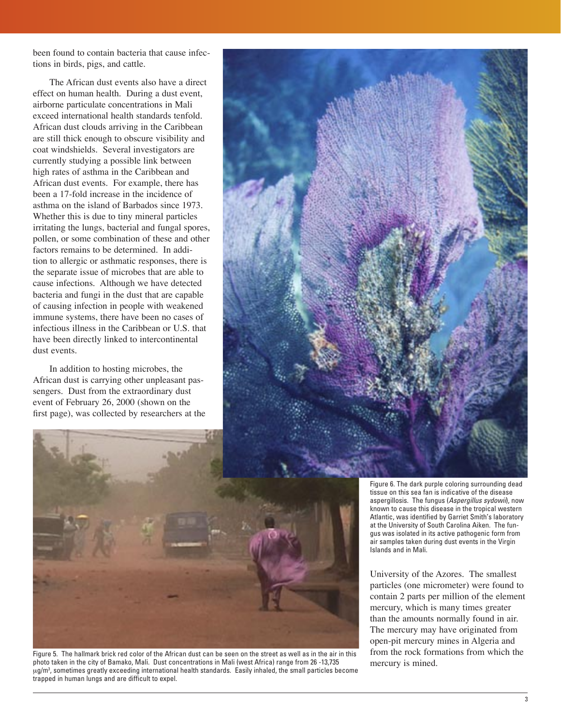been found to contain bacteria that cause infections in birds, pigs, and cattle.

The African dust events also have a direct effect on human health. During a dust event, airborne particulate concentrations in Mali exceed international health standards tenfold. African dust clouds arriving in the Caribbean are still thick enough to obscure visibility and coat windshields. Several investigators are currently studying a possible link between high rates of asthma in the Caribbean and African dust events. For example, there has been a 17-fold increase in the incidence of asthma on the island of Barbados since 1973. Whether this is due to tiny mineral particles irritating the lungs, bacterial and fungal spores, pollen, or some combination of these and other factors remains to be determined. In addition to allergic or asthmatic responses, there is the separate issue of microbes that are able to cause infections. Although we have detected bacteria and fungi in the dust that are capable of causing infection in people with weakened immune systems, there have been no cases of infectious illness in the Caribbean or U.S. that have been directly linked to intercontinental dust events.

In addition to hosting microbes, the African dust is carrying other unpleasant passengers. Dust from the extraordinary dust event of February 26, 2000 (shown on the first page), was collected by researchers at the





Figure 5. The hallmark brick red color of the African dust can be seen on the street as well as in the air in this photo taken in the city of Bamako, Mali. Dust concentrations in Mali (west Africa) range from 26 -13,735 μg/m3 , sometimes greatly exceeding international health standards. Easily inhaled, the small particles become trapped in human lungs and are difficult to expel.

Figure 6. The dark purple coloring surrounding dead tissue on this sea fan is indicative of the disease aspergillosis. The fungus (Aspergillus sydowii), now known to cause this disease in the tropical western Atlantic, was identified by Garriet Smith's laboratory at the University of South Carolina Aiken. The fungus was isolated in its active pathogenic form from air samples taken during dust events in the Virgin Islands and in Mali.

University of the Azores. The smallest particles (one micrometer) were found to contain 2 parts per million of the element mercury, which is many times greater than the amounts normally found in air. The mercury may have originated from open-pit mercury mines in Algeria and from the rock formations from which the mercury is mined.